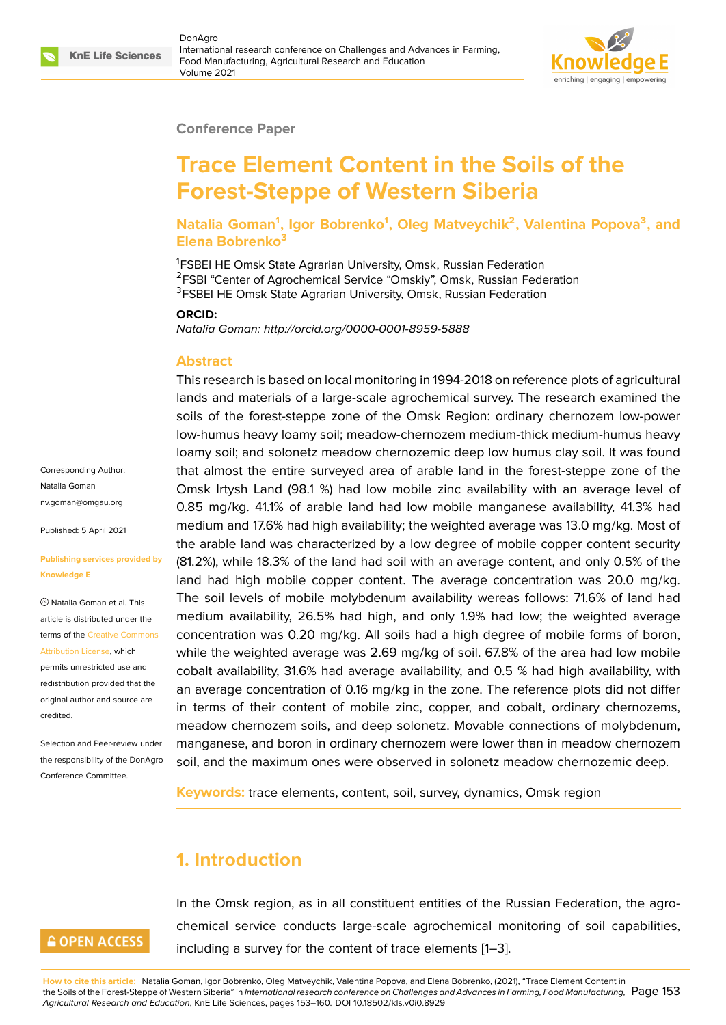

#### **Conference Paper**

# **Trace Element Content in the Soils of the Forest-Steppe of Western Siberia**

**Natalia Goman<sup>1</sup> , Igor Bobrenko<sup>1</sup> , Oleg Matveychik<sup>2</sup> , Valentina Popova<sup>3</sup> , and Elena Bobrenko<sup>3</sup>**

<sup>1</sup>FSBEI HE Omsk State Agrarian University, Omsk, Russian Federation <sup>2</sup>FSBI "Center of Agrochemical Service "Omskiy", Omsk, Russian Federation <sup>3</sup>FSBEI HE Omsk State Agrarian University, Omsk, Russian Federation

#### **ORCID:**

*Natalia Goman: http://orcid.org/0000-0001-8959-5888*

#### **Abstract**

This research is based on local monitoring in 1994-2018 on reference plots of agricultural lands and materials of a large-scale agrochemical survey. The research examined the soils of the forest-steppe zone of the Omsk Region: ordinary chernozem low-power low-humus heavy loamy soil; meadow-chernozem medium-thick medium-humus heavy loamy soil; and solonetz meadow chernozemic deep low humus clay soil. It was found that almost the entire surveyed area of arable land in the forest-steppe zone of the Omsk Irtysh Land (98.1 %) had low mobile zinc availability with an average level of 0.85 mg/kg. 41.1% of arable land had low mobile manganese availability, 41.3% had medium and 17.6% had high availability; the weighted average was 13.0 mg/kg. Most of the arable land was characterized by a low degree of mobile copper content security (81.2%), while 18.3% of the land had soil with an average content, and only 0.5% of the land had high mobile copper content. The average concentration was 20.0 mg/kg. The soil levels of mobile molybdenum availability wereas follows: 71.6% of land had medium availability, 26.5% had high, and only 1.9% had low; the weighted average concentration was 0.20 mg/kg. All soils had a high degree of mobile forms of boron, while the weighted average was 2.69 mg/kg of soil. 67.8% of the area had low mobile cobalt availability, 31.6% had average availability, and 0.5 % had high availability, with an average concentration of 0.16 mg/kg in the zone. The reference plots did not differ in terms of their content of mobile zinc, copper, and cobalt, ordinary chernozems, meadow chernozem soils, and deep solonetz. Movable connections of molybdenum, manganese, and boron in ordinary chernozem were lower than in meadow chernozem soil, and the maximum ones were observed in solonetz meadow chernozemic deep.

**Keywords:** trace elements, content, soil, survey, dynamics, Omsk region

# **1. Introduction**

## **GOPEN ACCESS**

Corresponding Author: Natalia Goman nv.goman@omgau.org

Published: 5 April 2021

**Knowledge E**

[credited.](https://creativecommons.org/licenses/by/4.0/)

**[Publishing services pr](mailto:nv.goman@omgau.org)ovided by**

Natalia Goman et al. This article is distributed under the terms of the Creative Commons Attribution License, which permits unrestricted use and redistribution provided that the original auth[or and source are](https://creativecommons.org/licenses/by/4.0/)

Selection and Peer-review under the responsibility of the DonAgro Conference Committee.

> In the Omsk region, as in all constituent entities of the Russian Federation, the agrochemical service conducts large-scale agrochemical monitoring of soil capabilities, including a survey for the content of trace elements [1–3].

**How to cite this article**: Natalia Goman, Igor Bobrenko, Oleg Matveychik, Valentina Popova, and Elena Bobrenko, (2021), "Trace Element Content in the Soils of the Forest-Steppe of Western Siberia" in *International research conference on Challenges and Advances in Farming, Food Manufacturing,* Page 153 *Agricultural Research and Education*, KnE Life Sciences, pages 153–160. DOI 10.18502/kls.v0i0.8929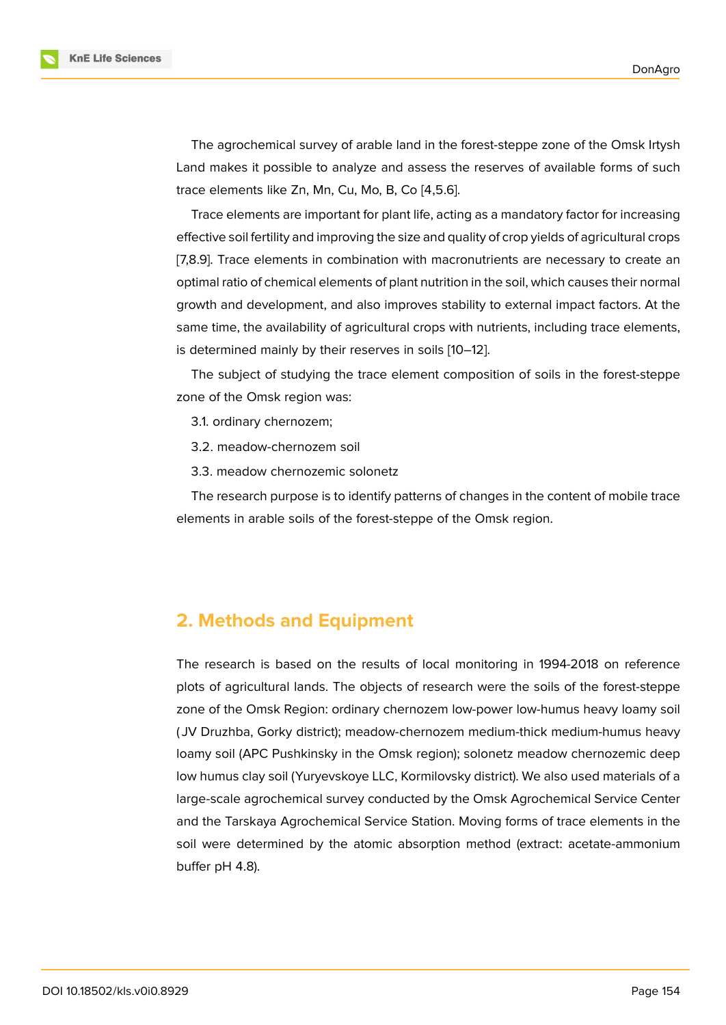The agrochemical survey of arable land in the forest-steppe zone of the Omsk Irtysh Land makes it possible to analyze and assess the reserves of available forms of such trace elements like Zn, Mn, Cu, Mo, B, Co [4,5.6].

Trace elements are important for plant life, acting as a mandatory factor for increasing effective soil fertility and improving the size and quality of crop yields of agricultural crops [7,8.9]. Trace elements in combination with macronutrients are necessary to create an optimal ratio of chemical elements of plant nutrition in the soil, which causes their normal growth and development, and also improves stability to external impact factors. At the same time, the availability of agricultural crops with nutrients, including trace elements, is determined mainly by their reserves in soils [10–12].

The subject of studying the trace element composition of soils in the forest-steppe zone of the Omsk region was:

- 3.1. ordinary chernozem;
- 3.2. meadow-chernozem soil
- 3.3. meadow chernozemic solonetz

The research purpose is to identify patterns of changes in the content of mobile trace elements in arable soils of the forest-steppe of the Omsk region.

## **2. Methods and Equipment**

The research is based on the results of local monitoring in 1994-2018 on reference plots of agricultural lands. The objects of research were the soils of the forest-steppe zone of the Omsk Region: ordinary chernozem low-power low-humus heavy loamy soil ( JV Druzhba, Gorky district); meadow-chernozem medium-thick medium-humus heavy loamy soil (APC Pushkinsky in the Omsk region); solonetz meadow chernozemic deep low humus clay soil (Yuryevskoye LLC, Kormilovsky district). We also used materials of a large-scale agrochemical survey conducted by the Omsk Agrochemical Service Center and the Tarskaya Agrochemical Service Station. Moving forms of trace elements in the soil were determined by the atomic absorption method (extract: acetate-ammonium buffer pH 4.8).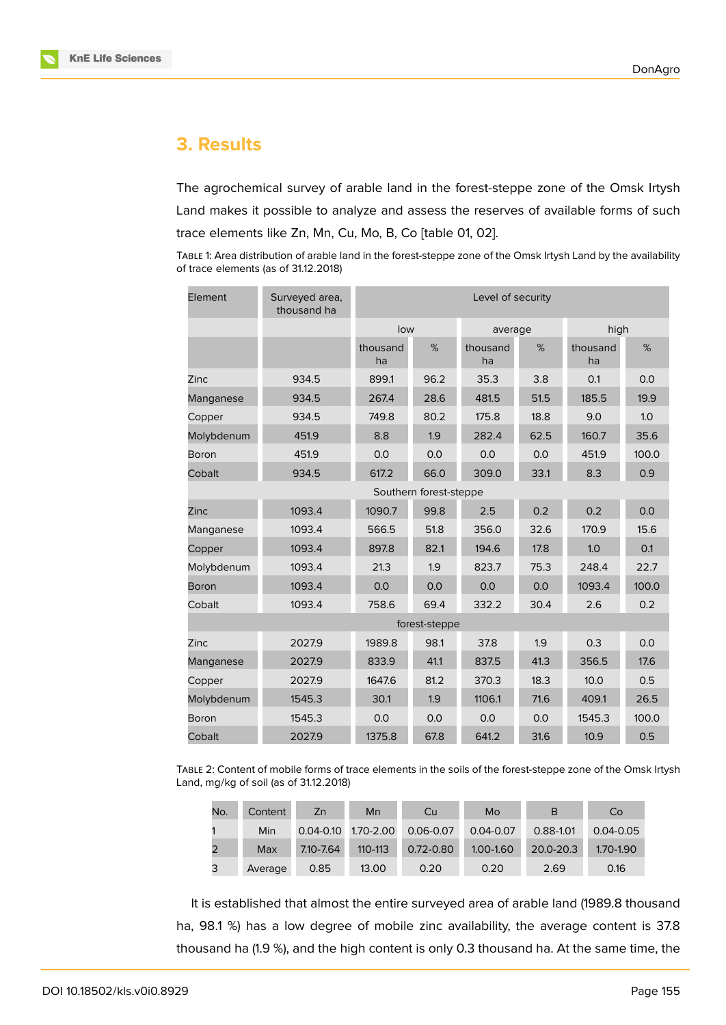

# **3. Results**

The agrochemical survey of arable land in the forest-steppe zone of the Omsk Irtysh Land makes it possible to analyze and assess the reserves of available forms of such trace elements like Zn, Mn, Cu, Mo, B, Co [table 01, 02].

TABLE 1: Area distribution of arable land in the forest-steppe zone of the Omsk Irtysh Land by the availability of trace elements (as of 31.12.2018)

| Element                | Surveyed area,<br>thousand ha | Level of security |               |                |      |                |       |  |
|------------------------|-------------------------------|-------------------|---------------|----------------|------|----------------|-------|--|
|                        |                               | low               |               | average        |      | high           |       |  |
|                        |                               | thousand<br>ha    | %             | thousand<br>ha | %    | thousand<br>ha | %     |  |
| Zinc                   | 934.5                         | 899.1             | 96.2          | 35.3           | 3.8  | 0.1            | 0.0   |  |
| Manganese              | 934.5                         | 267.4             | 28.6          | 481.5          | 51.5 | 185.5          | 19.9  |  |
| Copper                 | 934.5                         | 749.8             | 80.2          | 175.8          | 18.8 | 9.0            | 1.0   |  |
| Molybdenum             | 451.9                         | 8.8               | 1.9           | 282.4          | 62.5 | 160.7          | 35.6  |  |
| Boron                  | 451.9                         | 0.0               | 0.0           | 0.0            | 0.0  | 451.9          | 100.0 |  |
| Cobalt                 | 934.5                         | 617.2             | 66.0          | 309.0          | 33.1 | 8.3            | 0.9   |  |
| Southern forest-steppe |                               |                   |               |                |      |                |       |  |
| Zinc                   | 1093.4                        | 1090.7            | 99.8          | 2.5            | 0.2  | 0.2            | 0.0   |  |
| Manganese              | 1093.4                        | 566.5             | 51.8          | 356.0          | 32.6 | 170.9          | 15.6  |  |
| Copper                 | 1093.4                        | 897.8             | 82.1          | 194.6          | 17.8 | 1.0            | 0.1   |  |
| Molybdenum             | 1093.4                        | 21.3              | 1.9           | 823.7          | 75.3 | 248.4          | 22.7  |  |
| <b>Boron</b>           | 1093.4                        | 0.0               | 0.0           | 0.0            | 0.0  | 1093.4         | 100.0 |  |
| Cobalt                 | 1093.4                        | 758.6             | 69.4          | 332.2          | 30.4 | 2.6            | 0.2   |  |
|                        |                               |                   | forest-steppe |                |      |                |       |  |
| Zinc                   | 2027.9                        | 1989.8            | 98.1          | 37.8           | 1.9  | 0.3            | 0.0   |  |
| Manganese              | 2027.9                        | 833.9             | 41.1          | 837.5          | 41.3 | 356.5          | 17.6  |  |
| Copper                 | 2027.9                        | 1647.6            | 81.2          | 370.3          | 18.3 | 10.0           | 0.5   |  |
| Molybdenum             | 1545.3                        | 30.1              | 1.9           | 1106.1         | 71.6 | 409.1          | 26.5  |  |
| Boron                  | 1545.3                        | 0.0               | 0.0           | 0.0            | 0.0  | 1545.3         | 100.0 |  |
| Cobalt                 | 2027.9                        | 1375.8            | 67.8          | 641.2          | 31.6 | 10.9           | 0.5   |  |

TABLE 2: Content of mobile forms of trace elements in the soils of the forest-steppe zone of the Omsk Irtysh Land, mg/kg of soil (as of 31.12.2018)

| No. | Content | Zn        | Mn                  | Cu            | Mo            | B         | Co            |
|-----|---------|-----------|---------------------|---------------|---------------|-----------|---------------|
|     | Min     |           | 0.04-0.10 1.70-2.00 | $0.06 - 0.07$ | $0.04 - 0.07$ | 0.88-1.01 | $0.04 - 0.05$ |
|     | Max     | 7.10-7.64 | $110 - 113$         | $0.72 - 0.80$ | 1.00-1.60     | 20.0-20.3 | 1.70-1.90     |
| 3   | Average | 0.85      | 13.00               | 0.20          | 0.20          | 2.69      | 0.16          |

It is established that almost the entire surveyed area of arable land (1989.8 thousand ha, 98.1 %) has a low degree of mobile zinc availability, the average content is 37.8 thousand ha (1.9 %), and the high content is only 0.3 thousand ha. At the same time, the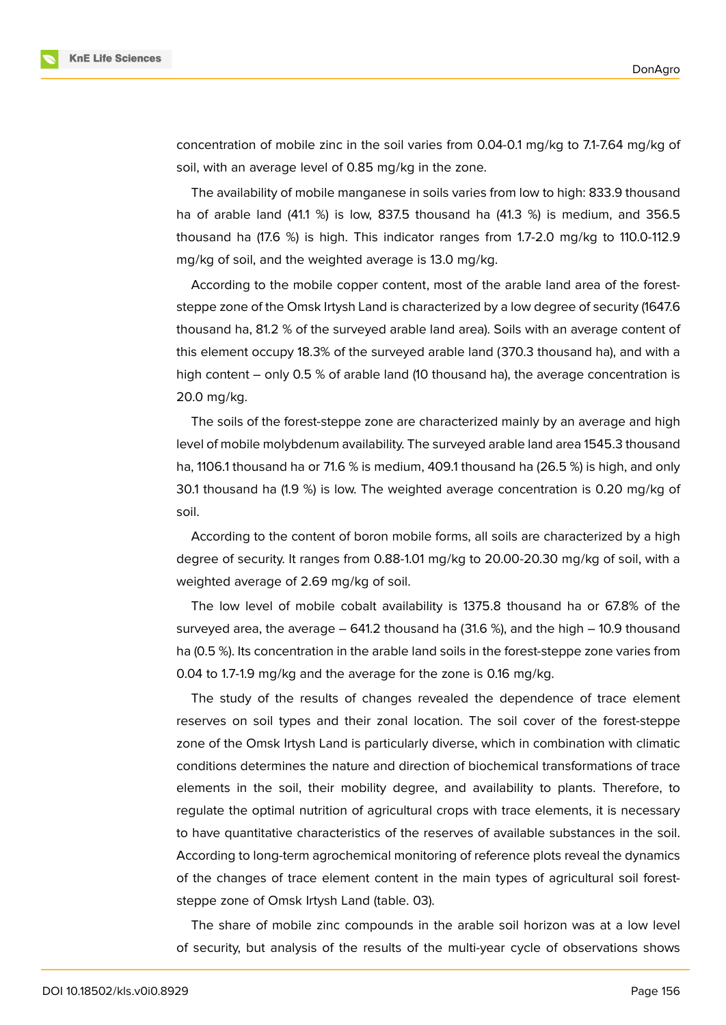

concentration of mobile zinc in the soil varies from 0.04-0.1 mg/kg to 7.1-7.64 mg/kg of soil, with an average level of 0.85 mg/kg in the zone.

The availability of mobile manganese in soils varies from low to high: 833.9 thousand ha of arable land (41.1 %) is low, 837.5 thousand ha (41.3 %) is medium, and 356.5 thousand ha (17.6 %) is high. This indicator ranges from 1.7-2.0 mg/kg to 110.0-112.9 mg/kg of soil, and the weighted average is 13.0 mg/kg.

According to the mobile copper content, most of the arable land area of the foreststeppe zone of the Omsk Irtysh Land is characterized by a low degree of security (1647.6 thousand ha, 81.2 % of the surveyed arable land area). Soils with an average content of this element occupy 18.3% of the surveyed arable land (370.3 thousand ha), and with a high content – only 0.5 % of arable land (10 thousand ha), the average concentration is 20.0 mg/kg.

The soils of the forest-steppe zone are characterized mainly by an average and high level of mobile molybdenum availability. The surveyed arable land area 1545.3 thousand ha, 1106.1 thousand ha or 71.6 % is medium, 409.1 thousand ha (26.5 %) is high, and only 30.1 thousand ha (1.9 %) is low. The weighted average concentration is 0.20 mg/kg of soil.

According to the content of boron mobile forms, all soils are characterized by a high degree of security. It ranges from 0.88-1.01 mg/kg to 20.00-20.30 mg/kg of soil, with a weighted average of 2.69 mg/kg of soil.

The low level of mobile cobalt availability is 1375.8 thousand ha or 67.8% of the surveyed area, the average – 641.2 thousand ha (31.6 %), and the high – 10.9 thousand ha (0.5 %). Its concentration in the arable land soils in the forest-steppe zone varies from 0.04 to 1.7-1.9 mg/kg and the average for the zone is 0.16 mg/kg.

The study of the results of changes revealed the dependence of trace element reserves on soil types and their zonal location. The soil cover of the forest-steppe zone of the Omsk Irtysh Land is particularly diverse, which in combination with climatic conditions determines the nature and direction of biochemical transformations of trace elements in the soil, their mobility degree, and availability to plants. Therefore, to regulate the optimal nutrition of agricultural crops with trace elements, it is necessary to have quantitative characteristics of the reserves of available substances in the soil. According to long-term agrochemical monitoring of reference plots reveal the dynamics of the changes of trace element content in the main types of agricultural soil foreststeppe zone of Omsk Irtysh Land (table. 03).

The share of mobile zinc compounds in the arable soil horizon was at a low level of security, but analysis of the results of the multi-year cycle of observations shows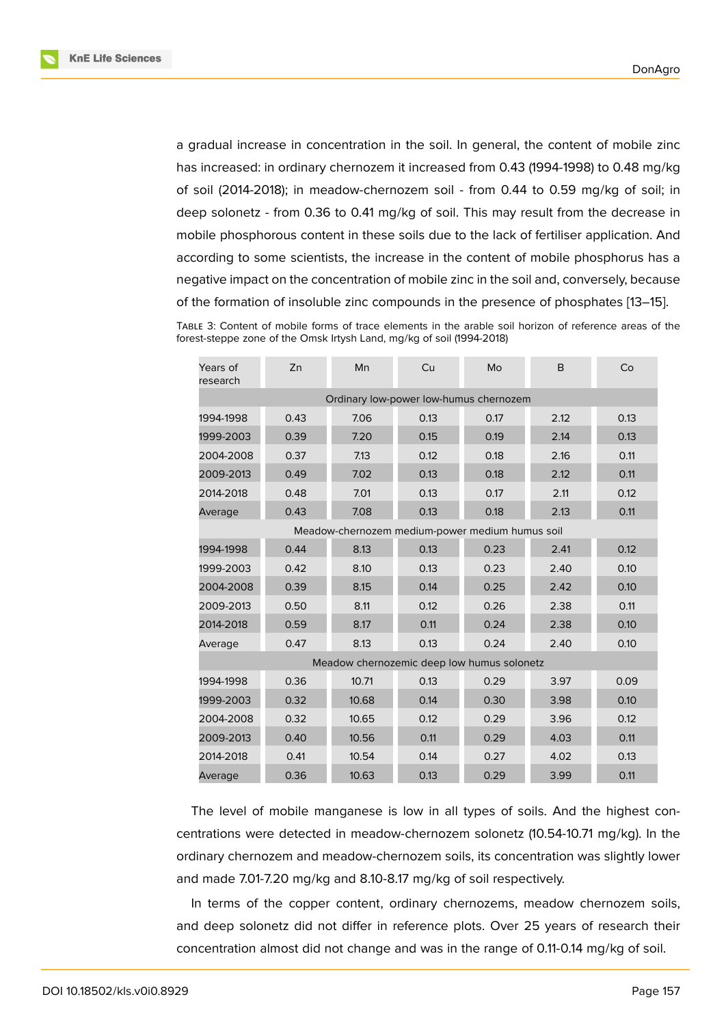a gradual increase in concentration in the soil. In general, the content of mobile zinc has increased: in ordinary chernozem it increased from 0.43 (1994-1998) to 0.48 mg/kg of soil (2014-2018); in meadow-chernozem soil - from 0.44 to 0.59 mg/kg of soil; in deep solonetz - from 0.36 to 0.41 mg/kg of soil. This may result from the decrease in mobile phosphorous content in these soils due to the lack of fertiliser application. And according to some scientists, the increase in the content of mobile phosphorus has a negative impact on the concentration of mobile zinc in the soil and, conversely, because of the formation of insoluble zinc compounds in the presence of phosphates [13–15].

TABLE 3: Content of mobile forms of trace elements in the arable soil horizon of reference areas of the forest-steppe zone of the Omsk Irtysh Land, mg/kg of soil (1994-2018)

| Years of<br>research                            | Zn   | Mn    | Cu   | Mo   | B    | Co   |  |  |  |
|-------------------------------------------------|------|-------|------|------|------|------|--|--|--|
| Ordinary low-power low-humus chernozem          |      |       |      |      |      |      |  |  |  |
| 1994-1998                                       | 0.43 | 7.06  | 0.13 | 0.17 | 2.12 | 0.13 |  |  |  |
| 1999-2003                                       | 0.39 | 7.20  | 0.15 | 0.19 | 2.14 | 0.13 |  |  |  |
| 2004-2008                                       | 0.37 | 7.13  | 0.12 | 0.18 | 2.16 | 0.11 |  |  |  |
| 2009-2013                                       | 0.49 | 7.02  | 0.13 | 0.18 | 2.12 | 0.11 |  |  |  |
| 2014-2018                                       | 0.48 | 7.01  | 0.13 | 0.17 | 2.11 | 0.12 |  |  |  |
| Average                                         | 0.43 | 7.08  | 0.13 | 0.18 | 2.13 | 0.11 |  |  |  |
| Meadow-chernozem medium-power medium humus soil |      |       |      |      |      |      |  |  |  |
| 1994-1998                                       | 0.44 | 8.13  | 0.13 | 0.23 | 2.41 | 0.12 |  |  |  |
| 1999-2003                                       | 0.42 | 8.10  | 0.13 | 0.23 | 2.40 | 0.10 |  |  |  |
| 2004-2008                                       | 0.39 | 8.15  | 0.14 | 0.25 | 2.42 | 0.10 |  |  |  |
| 2009-2013                                       | 0.50 | 8.11  | 0.12 | 0.26 | 2.38 | 0.11 |  |  |  |
| 2014-2018                                       | 0.59 | 8.17  | 0.11 | 0.24 | 2.38 | 0.10 |  |  |  |
| Average                                         | 0.47 | 8.13  | 0.13 | 0.24 | 2.40 | 0.10 |  |  |  |
| Meadow chernozemic deep low humus solonetz      |      |       |      |      |      |      |  |  |  |
| 1994-1998                                       | 0.36 | 10.71 | 0.13 | 0.29 | 3.97 | 0.09 |  |  |  |
| 1999-2003                                       | 0.32 | 10.68 | 0.14 | 0.30 | 3.98 | 0.10 |  |  |  |
| 2004-2008                                       | 0.32 | 10.65 | 0.12 | 0.29 | 3.96 | 0.12 |  |  |  |
| 2009-2013                                       | 0.40 | 10.56 | 0.11 | 0.29 | 4.03 | 0.11 |  |  |  |
| 2014-2018                                       | 0.41 | 10.54 | 0.14 | 0.27 | 4.02 | 0.13 |  |  |  |
| Average                                         | 0.36 | 10.63 | 0.13 | 0.29 | 3.99 | 0.11 |  |  |  |

The level of mobile manganese is low in all types of soils. And the highest concentrations were detected in meadow-chernozem solonetz (10.54-10.71 mg/kg). In the ordinary chernozem and meadow-chernozem soils, its concentration was slightly lower and made 7.01-7.20 mg/kg and 8.10-8.17 mg/kg of soil respectively.

In terms of the copper content, ordinary chernozems, meadow chernozem soils, and deep solonetz did not differ in reference plots. Over 25 years of research their concentration almost did not change and was in the range of 0.11-0.14 mg/kg of soil.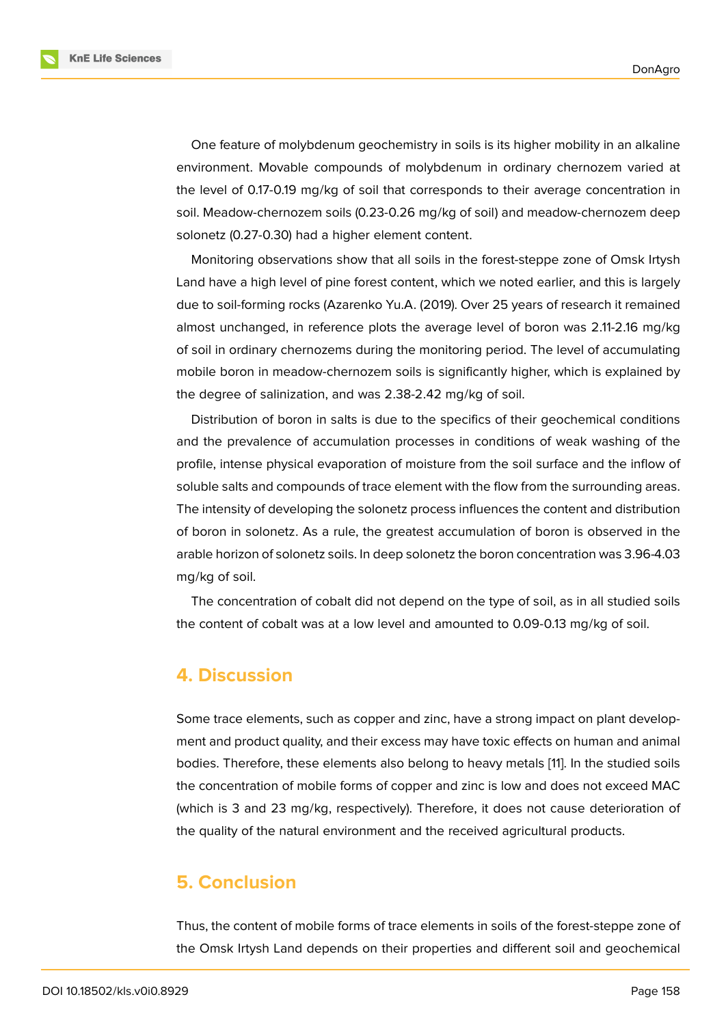One feature of molybdenum geochemistry in soils is its higher mobility in an alkaline environment. Movable compounds of molybdenum in ordinary chernozem varied at the level of 0.17-0.19 mg/kg of soil that corresponds to their average concentration in soil. Meadow-chernozem soils (0.23-0.26 mg/kg of soil) and meadow-chernozem deep solonetz (0.27-0.30) had a higher element content.

Monitoring observations show that all soils in the forest-steppe zone of Omsk Irtysh Land have a high level of pine forest content, which we noted earlier, and this is largely due to soil-forming rocks (Azarenko Yu.A. (2019). Over 25 years of research it remained almost unchanged, in reference plots the average level of boron was 2.11-2.16 mg/kg of soil in ordinary chernozems during the monitoring period. The level of accumulating mobile boron in meadow-chernozem soils is significantly higher, which is explained by the degree of salinization, and was 2.38-2.42 mg/kg of soil.

Distribution of boron in salts is due to the specifics of their geochemical conditions and the prevalence of accumulation processes in conditions of weak washing of the profile, intense physical evaporation of moisture from the soil surface and the inflow of soluble salts and compounds of trace element with the flow from the surrounding areas. The intensity of developing the solonetz process influences the content and distribution of boron in solonetz. As a rule, the greatest accumulation of boron is observed in the arable horizon of solonetz soils. In deep solonetz the boron concentration was 3.96-4.03 mg/kg of soil.

The concentration of cobalt did not depend on the type of soil, as in all studied soils the content of cobalt was at a low level and amounted to 0.09-0.13 mg/kg of soil.

#### **4. Discussion**

Some trace elements, such as copper and zinc, have a strong impact on plant development and product quality, and their excess may have toxic effects on human and animal bodies. Therefore, these elements also belong to heavy metals [11]. In the studied soils the concentration of mobile forms of copper and zinc is low and does not exceed MAC (which is 3 and 23 mg/kg, respectively). Therefore, it does not cause deterioration of the quality of the natural environment and the received agricult[ura](#page-7-1)l products.

# **5. Conclusion**

Thus, the content of mobile forms of trace elements in soils of the forest-steppe zone of the Omsk Irtysh Land depends on their properties and different soil and geochemical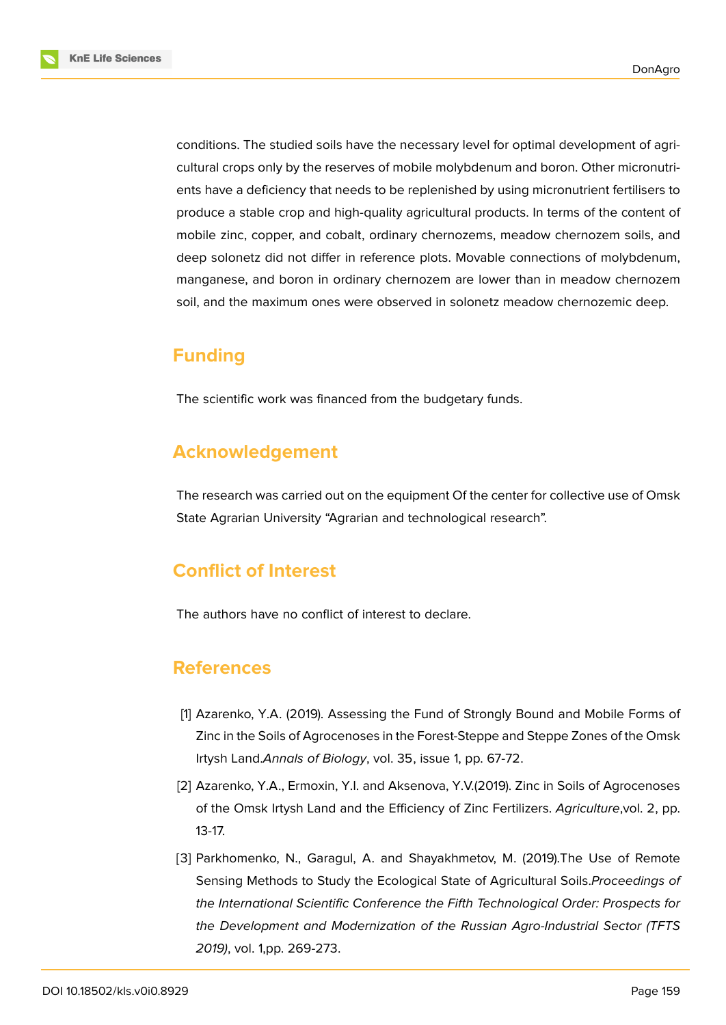

conditions. The studied soils have the necessary level for optimal development of agricultural crops only by the reserves of mobile molybdenum and boron. Other micronutrients have a deficiency that needs to be replenished by using micronutrient fertilisers to produce a stable crop and high-quality agricultural products. In terms of the content of mobile zinc, copper, and cobalt, ordinary chernozems, meadow chernozem soils, and deep solonetz did not differ in reference plots. Movable connections of molybdenum, manganese, and boron in ordinary chernozem are lower than in meadow chernozem soil, and the maximum ones were observed in solonetz meadow chernozemic deep.

# **Funding**

The scientific work was financed from the budgetary funds.

# **Acknowledgement**

The research was carried out on the equipment Of the center for collective use of Omsk State Agrarian University "Agrarian and technological research".

# **Conflict of Interest**

The authors have no conflict of interest to declare.

# **References**

- [1] Azarenko, Y.A. (2019). Assessing the Fund of Strongly Bound and Mobile Forms of Zinc in the Soils of Agrocenoses in the Forest-Steppe and Steppe Zones of the Omsk Irtysh Land.*Annals of Biology*, vol. 35, issue 1, pp. 67-72.
- [2] Azarenko, Y.A., Ermoxin, Y.I. and Aksenova, Y.V.(2019). Zinc in Soils of Agrocenoses of the Omsk Irtysh Land and the Efficiency of Zinc Fertilizers. *Agriculture*,vol. 2, pp. 13-17.
- [3] Parkhomenko, N., Garagul, A. and Shayakhmetov, M. (2019). The Use of Remote Sensing Methods to Study the Ecological State of Agricultural Soils.*Proceedings of the International Scientific Conference the Fifth Technological Order: Prospects for the Development and Modernization of the Russian Agro-Industrial Sector (TFTS 2019)*, vol. 1,pp. 269-273.